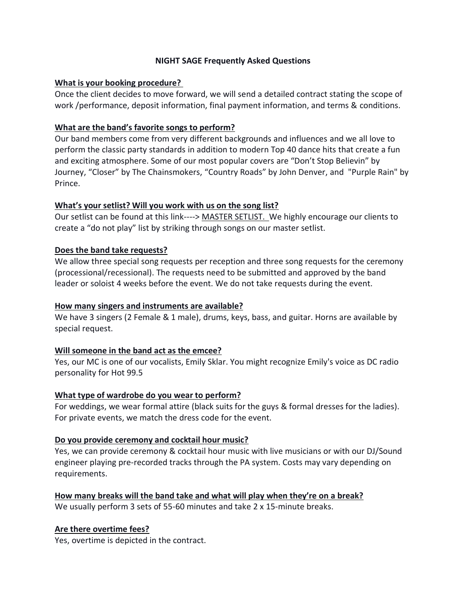#### **NIGHT SAGE Frequently Asked Questions**

#### **What is your booking procedure?**

Once the client decides to move forward, we will send a detailed contract stating the scope of work /performance, deposit information, final payment information, and terms & conditions.

# **What are the band's favorite songs to perform?**

Our band members come from very different backgrounds and influences and we all love to perform the classic party standards in addition to modern Top 40 dance hits that create a fun and exciting atmosphere. Some of our most popular covers are "Don't Stop Believin" by Journey, "Closer" by The Chainsmokers, "Country Roads" by John Denver, and "Purple Rain" by Prince.

## **What's your setlist? Will you work with us on the song list?**

Our setlist can be found at this link----> [MASTER SETLIST. W](https://22d6ca21-72af-48c6-a767-9d27c01a6faf.filesusr.com/ugd/2b9b9e_d414d3b774ac4573b09d3e466ffcab8d.pdf)e highly encourage our clients to create a "do not play" list by striking through songs on our master setlist.

# **Does the band take requests?**

We allow three special song requests per reception and three song requests for the ceremony (processional/recessional). The requests need to be submitted and approved by the band leader or soloist 4 weeks before the event. We do not take requests during the event.

## **How many singers and instruments are available?**

We have 3 singers (2 Female & 1 male), drums, keys, bass, and guitar. Horns are available by special request.

## **Will someone in the band act as the emcee?**

Yes, our MC is one of our vocalists, Emily Sklar. You might recognize Emily's voice as DC radio personality for Hot 99.5

## **What type of wardrobe do you wear to perform?**

For weddings, we wear formal attire (black suits for the guys & formal dresses for the ladies). For private events, we match the dress code for the event.

## **Do you provide ceremony and cocktail hour music?**

Yes, we can provide ceremony & cocktail hour music with live musicians or with our DJ/Sound engineer playing pre-recorded tracks through the PA system. Costs may vary depending on requirements.

**How many breaks will the band take and what will play when they're on a break?** We usually perform 3 sets of 55-60 minutes and take 2 x 15-minute breaks.

## **Are there overtime fees?**

Yes, overtime is depicted in the contract.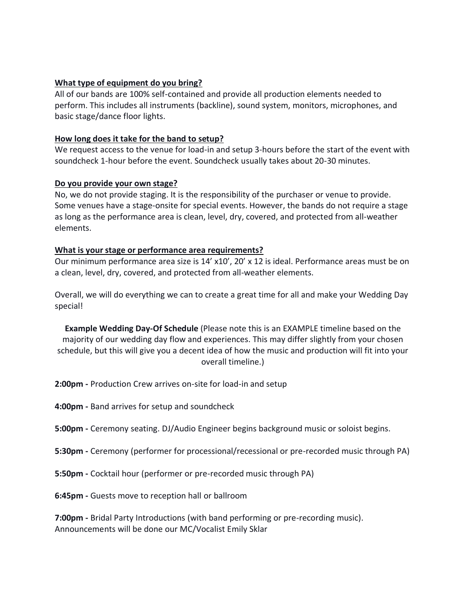#### **What type of equipment do you bring?**

All of our bands are 100% self-contained and provide all production elements needed to perform. This includes all instruments (backline), sound system, monitors, microphones, and basic stage/dance floor lights.

#### **How long does it take for the band to setup?**

We request access to the venue for load-in and setup 3-hours before the start of the event with soundcheck 1-hour before the event. Soundcheck usually takes about 20-30 minutes.

#### **Do you provide your own stage?**

No, we do not provide staging. It is the responsibility of the purchaser or venue to provide. Some venues have a stage-onsite for special events. However, the bands do not require a stage as long as the performance area is clean, level, dry, covered, and protected from all-weather elements.

#### **What is your stage or performance area requirements?**

Our minimum performance area size is 14' x10', 20' x 12 is ideal. Performance areas must be on a clean, level, dry, covered, and protected from all-weather elements.

Overall, we will do everything we can to create a great time for all and make your Wedding Day special!

**Example Wedding Day-Of Schedule** (Please note this is an EXAMPLE timeline based on the majority of our wedding day flow and experiences. This may differ slightly from your chosen schedule, but this will give you a decent idea of how the music and production will fit into your overall timeline.)

**2:00pm -** Production Crew arrives on-site for load-in and setup

**4:00pm -** Band arrives for setup and soundcheck

**5:00pm -** Ceremony seating. DJ/Audio Engineer begins background music or soloist begins.

- **5:30pm -** Ceremony (performer for processional/recessional or pre-recorded music through PA)
- **5:50pm -** Cocktail hour (performer or pre-recorded music through PA)

**6:45pm -** Guests move to reception hall or ballroom

**7:00pm -** Bridal Party Introductions (with band performing or pre-recording music). Announcements will be done our MC/Vocalist Emily Sklar